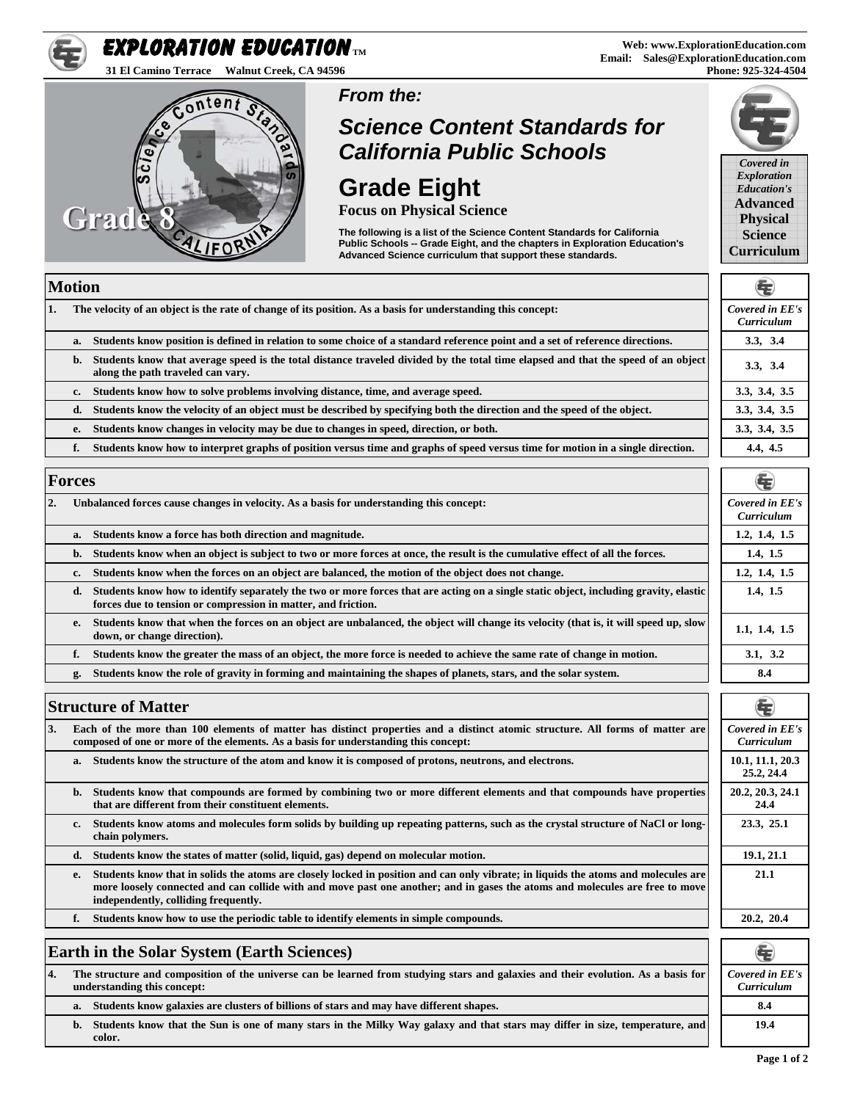#### **Web: www.ExplorationEducation.com Email: Sales@ExplorationEducation.com Phone: 925-324-4504**

## *From the:*

# *Science Content Standards for California Public Schools*

# **Grade Eight**

**Focus on Physical Science** 

**The following is a list of the Science Content Standards for California Public Schools -- Grade Eight, and the chapters in Exploration Education's Advanced Science curriculum that support these standards.**

## **Motion**

Grad

| 11. |    | The velocity of an object is the rate of change of its position. As a basis for understanding this concept:                                                            | Covered in EE's<br>Curriculum |
|-----|----|------------------------------------------------------------------------------------------------------------------------------------------------------------------------|-------------------------------|
|     | a. | Students know position is defined in relation to some choice of a standard reference point and a set of reference directions.                                          | 3.3, 3.4                      |
|     | b. | Students know that average speed is the total distance traveled divided by the total time elapsed and that the speed of an object<br>along the path traveled can vary. | 3.3, 3.4                      |
|     | c. | Students know how to solve problems involving distance, time, and average speed.                                                                                       | 3.3, 3.4, 3.5                 |
|     | d. | Students know the velocity of an object must be described by specifying both the direction and the speed of the object.                                                | 3.3, 3.4, 3.5                 |
|     | е. | Students know changes in velocity may be due to changes in speed, direction, or both.                                                                                  | 3.3, 3.4, 3.5                 |
|     |    | Students know how to interpret graphs of position versus time and graphs of speed versus time for motion in a single direction.                                        | 4.4, 4.5                      |

## **Forces**

|    | T AT CAN                                                                                                                                                                                                     | w                             |
|----|--------------------------------------------------------------------------------------------------------------------------------------------------------------------------------------------------------------|-------------------------------|
| 2. | Unbalanced forces cause changes in velocity. As a basis for understanding this concept:                                                                                                                      | Covered in EE's<br>Curriculum |
|    | Students know a force has both direction and magnitude.<br>a.                                                                                                                                                | 1.2, 1.4, 1.5                 |
|    | Students know when an object is subject to two or more forces at once, the result is the cumulative effect of all the forces.<br>b.                                                                          | 1.4, 1.5                      |
|    | Students know when the forces on an object are balanced, the motion of the object does not change.<br>c.                                                                                                     | 1.2, 1.4, 1.5                 |
|    | Students know how to identify separately the two or more forces that are acting on a single static object, including gravity, elastic<br>d.<br>forces due to tension or compression in matter, and friction. | 1.4, 1.5                      |
|    | Students know that when the forces on an object are unbalanced, the object will change its velocity (that is, it will speed up, slow<br>е.<br>down, or change direction).                                    | 1.1, 1.4, 1.5                 |
|    | Students know the greater the mass of an object, the more force is needed to achieve the same rate of change in motion.<br>f.                                                                                | 3.1, 3.2                      |
|    | Students know the role of gravity in forming and maintaining the shapes of planets, stars, and the solar system.<br>g.                                                                                       | 8.4                           |

## **Structure of Matter**

**3. Each of the more than 100 elements of matter has distinct properties and a distinct atomic structure. All forms of matter are composed of one or more of the elements. As a basis for understanding this concept:** 

Students know the structure of the atom and know it is composed of protons, neutrons, and electrons.

- **b. Students know that compounds are formed by combining two or more different elements and that compounds have properties that are different from their constituent elements.**
- **c. Students know atoms and molecules form solids by building up repeating patterns, such as the crystal structure of NaCl or longchain polymers.**
- d. Students know the states of matter (solid, liquid, gas) depend on molecular motion.
- **e. Students kno***w* **that in solids the atoms are closely locked in position and can only vibrate; in liquids the atoms and molecules are**  more loosely connected and can collide with and move past one another; and in gases the atoms and molecules are free to move **independently, colliding frequently.**
- f. Students know how to use the periodic table to identify elements in simple compounds.

## **Earth in the Solar System (Earth Sciences)**

**4. The structure and composition of the universe can be learned from studying stars and galaxies and their evolution. As a basis for understanding this concept:** 

**a.** Students know galaxies are clusters of billions of stars and may have different shapes. **8.4 1996 1996 1999 1999 1999 1999 1999 1999 1999 1999 1999 1999 1999 1999 1999 1999 1999 199** 

**b. Students know that the Sun is one of many stars in the Milky Way galaxy and that stars may differ in size, temperature, and color.** 







| Covered in EE's<br>Curriculum |
|-------------------------------|
| 1.2, 1.4, 1.5                 |
| 1.4, 1.5                      |
| 1.2, 1.4, 1.5                 |
| 1.4, 1.5                      |
| 1.1, 1.4, 1.5                 |
| 3.1, 3.2                      |
| 8.4                           |

| <b>Covered in EE's</b><br>Curriculum |
|--------------------------------------|
| 10.1, 11.1, 20.3<br>25.2, 24.4       |
| 20.2, 20.3, 24.1<br>24.4             |
| 23.3, 25.1                           |
| 19.1, 21.1                           |
| 21.1                                 |
|                                      |
| 20.2, 20.4                           |







ontent